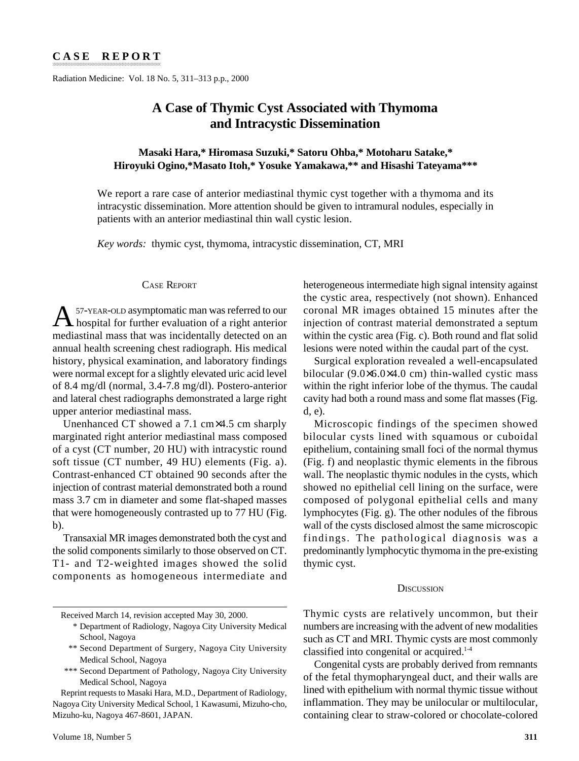Radiation Medicine: Vol. 18 No. 5, 311–313 p.p., 2000

# **A Case of Thymic Cyst Associated with Thymoma and Intracystic Dissemination**

# **Masaki Hara,\* Hiromasa Suzuki,\* Satoru Ohba,\* Motoharu Satake,\* Hiroyuki Ogino,\*Masato Itoh,\* Yosuke Yamakawa,\*\* and Hisashi Tateyama\*\*\***

We report a rare case of anterior mediastinal thymic cyst together with a thymoma and its intracystic dissemination. More attention should be given to intramural nodules, especially in patients with an anterior mediastinal thin wall cystic lesion.

*Key words:* thymic cyst, thymoma, intracystic dissemination, CT, MRI

## CASE REPORT

A57-YEAR-OLD asymptomatic man was referred to our hospital for further evaluation of a right anterior mediastinal mass that was incidentally detected on an annual health screening chest radiograph. His medical history, physical examination, and laboratory findings were normal except for a slightly elevated uric acid level of 8.4 mg/dl (normal, 3.4-7.8 mg/dl). Postero-anterior and lateral chest radiographs demonstrated a large right upper anterior mediastinal mass.

Unenhanced CT showed a 7.1 cm×4.5 cm sharply marginated right anterior mediastinal mass composed of a cyst (CT number, 20 HU) with intracystic round soft tissue (CT number, 49 HU) elements (Fig. a). Contrast-enhanced CT obtained 90 seconds after the injection of contrast material demonstrated both a round mass 3.7 cm in diameter and some flat-shaped masses that were homogeneously contrasted up to 77 HU (Fig. b).

Transaxial MR images demonstrated both the cyst and the solid components similarly to those observed on CT. T1- and T2-weighted images showed the solid components as homogeneous intermediate and heterogeneous intermediate high signal intensity against the cystic area, respectively (not shown). Enhanced coronal MR images obtained 15 minutes after the injection of contrast material demonstrated a septum within the cystic area (Fig. c). Both round and flat solid lesions were noted within the caudal part of the cyst.

Surgical exploration revealed a well-encapsulated bilocular (9.0×6.0×4.0 cm) thin-walled cystic mass within the right inferior lobe of the thymus. The caudal cavity had both a round mass and some flat masses (Fig. d, e).

Microscopic findings of the specimen showed bilocular cysts lined with squamous or cuboidal epithelium, containing small foci of the normal thymus (Fig. f) and neoplastic thymic elements in the fibrous wall. The neoplastic thymic nodules in the cysts, which showed no epithelial cell lining on the surface, were composed of polygonal epithelial cells and many lymphocytes (Fig. g). The other nodules of the fibrous wall of the cysts disclosed almost the same microscopic findings. The pathological diagnosis was a predominantly lymphocytic thymoma in the pre-existing thymic cyst.

#### **DISCUSSION**

- \*\* Second Department of Surgery, Nagoya City University Medical School, Nagoya
- \*\*\* Second Department of Pathology, Nagoya City University Medical School, Nagoya

Reprint requests to Masaki Hara, M.D., Department of Radiology, Nagoya City University Medical School, 1 Kawasumi, Mizuho-cho, Mizuho-ku, Nagoya 467-8601, JAPAN.

Thymic cysts are relatively uncommon, but their numbers are increasing with the advent of new modalities such as CT and MRI. Thymic cysts are most commonly classified into congenital or acquired.1-4

Congenital cysts are probably derived from remnants of the fetal thymopharyngeal duct, and their walls are lined with epithelium with normal thymic tissue without inflammation. They may be unilocular or multilocular, containing clear to straw-colored or chocolate-colored

Received March 14, revision accepted May 30, 2000.

<sup>\*</sup> Department of Radiology, Nagoya City University Medical School, Nagoya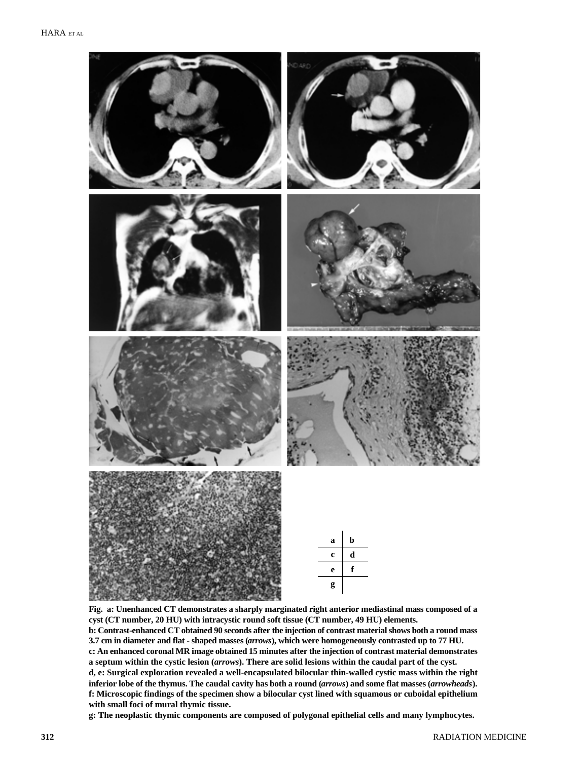

**Fig. a: Unenhanced CT demonstrates a sharply marginated right anterior mediastinal mass composed of a cyst (CT number, 20 HU) with intracystic round soft tissue (CT number, 49 HU) elements. b: Contrast-enhanced CT obtained 90 seconds after the injection of contrast material shows both a round mass 3.7 cm in diameter and flat - shaped masses (***arrows***), which were homogeneously contrasted up to 77 HU. c: An enhanced coronal MR image obtained 15 minutes after the injection of contrast material demonstrates a septum within the cystic lesion (***arrows***). There are solid lesions within the caudal part of the cyst. d, e: Surgical exploration revealed a well-encapsulated bilocular thin-walled cystic mass within the right inferior lobe of the thymus. The caudal cavity has both a round (***arrows***) and some flat masses (***arrowheads***). f: Microscopic findings of the specimen show a bilocular cyst lined with squamous or cuboidal epithelium with small foci of mural thymic tissue.**

**g: The neoplastic thymic components are composed of polygonal epithelial cells and many lymphocytes.**